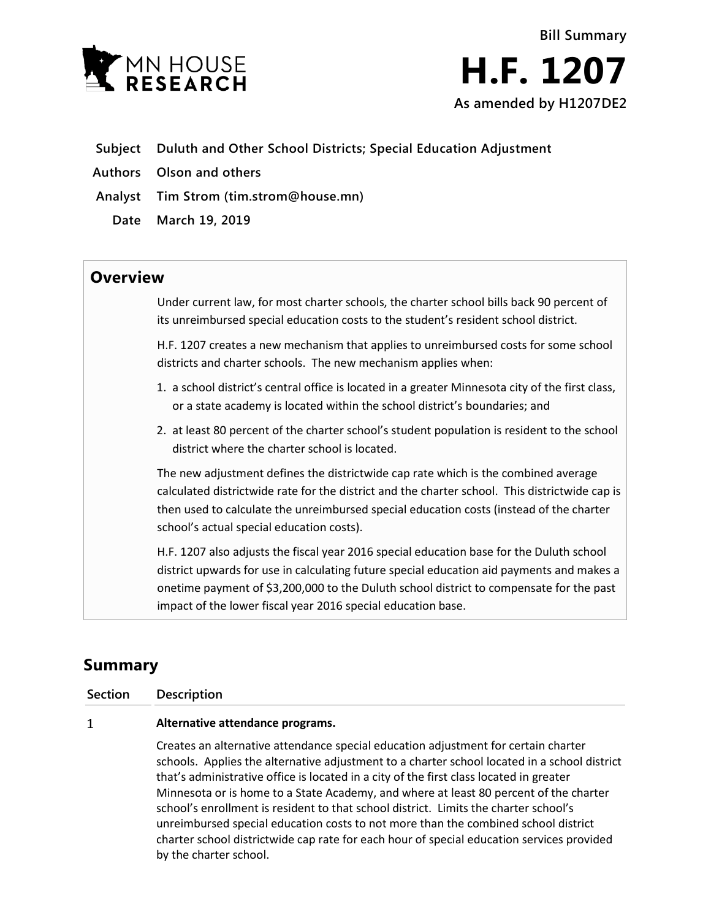



- **Subject Duluth and Other School Districts; Special Education Adjustment**
- **Authors Olson and others**
- **Analyst Tim Strom (tim.strom@house.mn)**
	- **Date March 19, 2019**

## **Overview**

Under current law, for most charter schools, the charter school bills back 90 percent of its unreimbursed special education costs to the student's resident school district.

H.F. 1207 creates a new mechanism that applies to unreimbursed costs for some school districts and charter schools. The new mechanism applies when:

- 1. a school district's central office is located in a greater Minnesota city of the first class, or a state academy is located within the school district's boundaries; and
- 2. at least 80 percent of the charter school's student population is resident to the school district where the charter school is located.

The new adjustment defines the districtwide cap rate which is the combined average calculated districtwide rate for the district and the charter school. This districtwide cap is then used to calculate the unreimbursed special education costs (instead of the charter school's actual special education costs).

H.F. 1207 also adjusts the fiscal year 2016 special education base for the Duluth school district upwards for use in calculating future special education aid payments and makes a onetime payment of \$3,200,000 to the Duluth school district to compensate for the past impact of the lower fiscal year 2016 special education base.

# **Summary**

### **Section Description**

#### $\mathbf{1}$ **Alternative attendance programs.**

Creates an alternative attendance special education adjustment for certain charter schools. Applies the alternative adjustment to a charter school located in a school district that's administrative office is located in a city of the first class located in greater Minnesota or is home to a State Academy, and where at least 80 percent of the charter school's enrollment is resident to that school district. Limits the charter school's unreimbursed special education costs to not more than the combined school district charter school districtwide cap rate for each hour of special education services provided by the charter school.